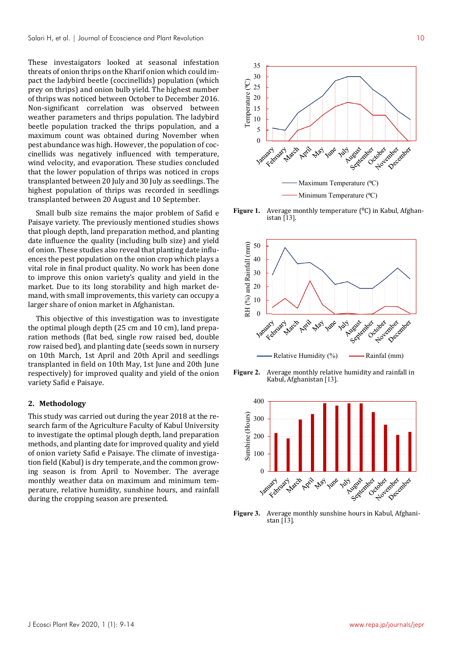These investaigators looked at seasonal infestation threats of onion thrips on the Kharif onion which could impact the ladybird beetle (coccinellids) population (which prey on thrips) and onion bulb yield. The highest number of thrips was noticed between October to December 2016. Non-significant correlation was observed between weather parameters and thrips population. The ladybird beetle population tracked the thrips population, and a maximum count was obtained during November when pest abundance was high. However, the population of coccinellids was negatively influenced with temperature, wind velocity, and evaporation. These studies concluded that the lower population of thrips was noticed in crops transplanted between 20 July and 30 July as seedlings. The highest population of thrips was recorded in seedlings transplanted between 20 August and 10 September.

Small bulb size remains the major problem of Safid e Paisaye variety. The previously mentioned studies shows that plough depth, land preparation method, and planting date influence the quality (including bulb size) and yield of onion. These studies also reveal that planting date influences the pest population on the onion crop which plays a vital role in final product quality. No work has been done to improve this onion variety's quality and yield in the market. Due to its long storability and high market demand, with small improvements, this variety can occupy a larger share of onion market in Afghanistan.

This objective of this investigation was to investigate the optimal plough depth (25 cm and 10 cm), land preparation methods (flat bed, single row raised bed, double row raised bed), and planting date (seeds sown in nursery on 10th March, 1st April and 20th April and seedlings transplanted in field on 10th May, 1st June and 20th June respectively) for improved quality and yield of the onion variety Safid e Paisaye.

#### **2. Methodology**

This study was carried out during the year 2018 at the research farm of the Agriculture Faculty of Kabul University to investigate the optimal plough depth, land preparation methods, and planting date for improved quality and yield of onion variety Safid e Paisaye. The climate of investigation field (Kabul) is dry temperate, and the common growing season is from April to November. The average monthly weather data on maximum and minimum temperature, relative humidity, sunshine hours, and rainfall during the cropping season are presented.



**Figure 1.** Average monthly temperature ( $^{\circ}$ C) in Kabul, Afghanistan [13].



**Figure 2.** Average monthly relative humidity and rainfall in Kabul, Afghanistan [13].



**Figure 3.** Average monthly sunshine hours in Kabul, Afghanistan [13].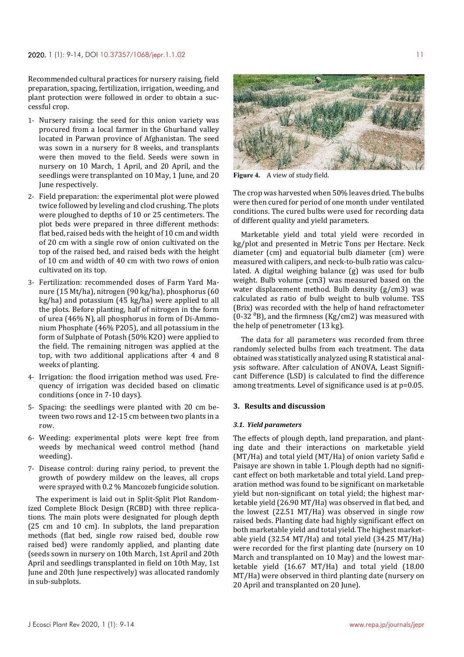Recommended cultural practices for nursery raising, field preparation, spacing, fertilization, irrigation, weeding, and plant protection were followed in order to obtain a successful crop.

- 1- Nursery raising: the seed for this onion variety was procured from a local farmer in the Ghurband valley located in Parwan province of Afghanistan. The seed was sown in a nursery for 8 weeks, and transplants were then moved to the field. Seeds were sown in nursery on 10 March, 1 April, and 20 April, and the seedlings were transplanted on 10 May, 1 June, and 20 June respectively.
- 2- Field preparation: the experimental plot were plowed twice followed by leveling and clod crushing. The plots were ploughed to depths of 10 or 25 centimeters. The plot beds were prepared in three different methods: flat bed, raised beds with the height of 10 cm and width of 20 cm with a single row of onion cultivated on the top of the raised bed, and raised beds with the height of 10 cm and width of 40 cm with two rows of onion cultivated on its top.
- 3- Fertilization: recommended doses of Farm Yard Manure (15 Mt/ha), nitrogen (90 kg/ha), phosphorus (60 kg/ha) and potassium (45 kg/ha) were applied to all the plots. Before planting, half of nitrogen in the form of urea (46% N), all phosphorus in form of Di-Ammonium Phosphate (46% P2O5), and all potassium in the form of Sulphate of Potash (50% K2O) were applied to the field. The remaining nitrogen was applied at the top, with two additional applications after 4 and 8 weeks of planting.
- 4- Irrigation: the flood irrigation method was used. Frequency of irrigation was decided based on climatic conditions (once in 7-10 days).
- 5- Spacing: the seedlings were planted with 20 cm between two rows and 12-15 cm between two plants in a row.
- 6- Weeding: experimental plots were kept free from weeds by mechanical weed control method (hand weeding).
- 7- Disease control: during rainy period, to prevent the growth of powdery mildew on the leaves, all crops were sprayed with 0.2 % Mancozeb fungicide solution.

The experiment is laid out in Split-Split Plot Randomized Complete Block Design (RCBD) with three replications. The main plots were designated for plough depth (25 cm and 10 cm). In subplots, the land preparation methods (flat bed, single row raised bed, double row raised bed) were randomly applied, and planting date (seeds sown in nursery on 10th March, 1st April and 20th April and seedlings transplanted in field on 10th May, 1st June and 20th June respectively) was allocated randomly in sub-subplots.



**Figure 4.** A view of study field.

The crop was harvested when 50% leaves dried. The bulbs were then cured for period of one month under ventilated conditions. The cured bulbs were used for recording data of different quality and yield parameters.

Marketable yield and total yield were recorded in kg/plot and presented in Metric Tons per Hectare. Neck diameter (cm) and equatorial bulb diameter (cm) were measured with calipers, and neck-to-bulb ratio was calculated. A digital weighing balance (g) was used for bulb weight. Bulb volume (cm3) was measured based on the water displacement method. Bulb density (g/cm3) was calculated as ratio of bulb weight to bulb volume. TSS (Brix) was recorded with the help of hand refractometer (0-32 $^{0}$ B), and the firmness (Kg/cm2) was measured with the help of penetrometer (13 kg).

The data for all parameters was recorded from three randomly selected bulbs from each treatment. The data obtained was statistically analyzed using R statistical analysis software. After calculation of ANOVA, Least Significant Difference (LSD) is calculated to find the difference among treatments. Level of significance used is at p=0.05.

# **3. Results and discussion**

## *3.1. Yield parameters*

The effects of plough depth, land preparation, and planting date and their interactions on marketable yield (MT/Ha) and total yield (MT/Ha) of onion variety Safid e Paisaye are shown in table 1. Plough depth had no significant effect on both marketable and total yield. Land preparation method was found to be significant on marketable yield but non-significant on total yield; the highest marketable yield (26.90 MT/Ha) was observed in flat bed, and the lowest (22.51 MT/Ha) was observed in single row raised beds. Planting date had highly significant effect on both marketable yield and total yield. The highest marketable yield (32.54 MT/Ha) and total yield (34.25 MT/Ha) were recorded for the first planting date (nursery on 10 March and transplanted on 10 May) and the lowest marketable yield (16.67 MT/Ha) and total yield (18.00 MT/Ha) were observed in third planting date (nursery on 20 April and transplanted on 20 June).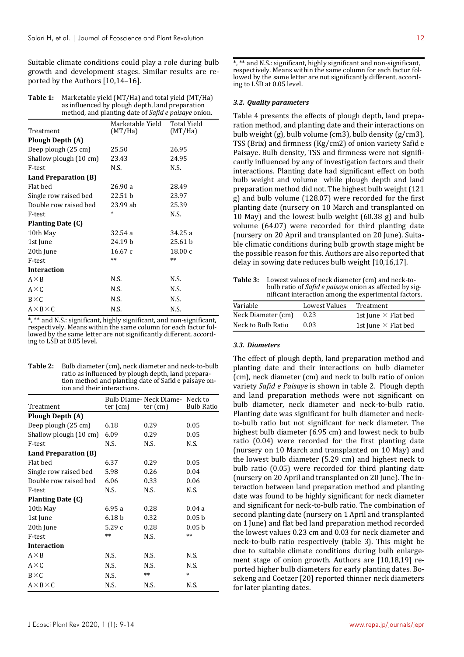Suitable climate conditions could play a role during bulb growth and development stages. Similar results are reported by the Authors [10,14–16].

| Table 1: | Marketable yield (MT/Ha) and total yield (MT/Ha)           |
|----------|------------------------------------------------------------|
|          | as influenced by plough depth, land preparation            |
|          | method, and planting date of <i>Safid e paisaye</i> onion. |

| Treatment              | Marketable Yield<br>(MT/Ha) | Total Yield<br>(MT/Ha) |  |
|------------------------|-----------------------------|------------------------|--|
| Plough Depth (A)       |                             |                        |  |
| Deep plough (25 cm)    | 25.50                       | 26.95                  |  |
| Shallow plough (10 cm) | 23.43                       | 24.95                  |  |
| F-test                 | N.S.                        | N.S.                   |  |
| Land Preparation (B)   |                             |                        |  |
| Flat hed               | 26.90 a                     | 28.49                  |  |
| Single row raised bed  | 22.51 b                     | 23.97                  |  |
| Double row raised bed  | 23.99 ab                    | 25.39                  |  |
| F-test                 | *                           | N.S.                   |  |
| Planting Date (C)      |                             |                        |  |
| 10th May               | 32.54 a                     | 34.25 a                |  |
| 1st June               | 24.19 b                     | 25.61 <sub>b</sub>     |  |
| 20th June              | 16.67c                      | 18.00c                 |  |
| F-test                 | $**$                        | $***$                  |  |
| <b>Interaction</b>     |                             |                        |  |
| $A \times B$           | N.S.                        | N.S.                   |  |
| $A \times C$           | N.S.                        | N.S.                   |  |
| $B \times C$           | N.S.                        | N.S.                   |  |
| $A \times B \times C$  | N.S.                        | N.S.                   |  |

\*, \*\* and N.S.: significant, highly significant, and non-significant, respectively. Means within the same column for each factor followed by the same letter are not significantly different, according to LSD at 0.05 level.

| Bulb diameter (cm), neck diameter and neck-to-bulb   |
|------------------------------------------------------|
| ratio as influenced by plough depth, land prepara-   |
| tion method and planting date of Safid e paisaye on- |
| ion and their interactions.                          |
|                                                      |

| Treatment              | $ter$ (cm)        | Bulb Diame- Neck Diame-<br>$ter$ (cm) | Neck to<br><b>Bulb Ratio</b> |  |
|------------------------|-------------------|---------------------------------------|------------------------------|--|
| Plough Depth (A)       |                   |                                       |                              |  |
|                        |                   |                                       |                              |  |
| Deep plough (25 cm)    | 6.18              | 0.29                                  | 0.05                         |  |
| Shallow plough (10 cm) | 6.09              | 0.29                                  | 0.05                         |  |
| F-test                 | N.S.              | N.S.                                  | N.S.                         |  |
| Land Preparation (B)   |                   |                                       |                              |  |
| Flat bed               | 6.37              | 0.29                                  | 0.05                         |  |
| Single row raised bed  | 5.98              | 0.26                                  | 0.04                         |  |
| Double row raised bed  | 6.06              | 0.33                                  | 0.06                         |  |
| F-test                 | N.S.              | N.S.                                  | N.S.                         |  |
| Planting Date (C)      |                   |                                       |                              |  |
| 10th May               | 6.95a             | 0.28                                  | 0.04a                        |  |
| 1st June               | 6.18 <sub>b</sub> | 0.32                                  | 0.05 <sub>b</sub>            |  |
| 20th June              | 5.29c             | 0.28                                  | 0.05 <sub>b</sub>            |  |
| F-test                 | $**$              | N.S.                                  | $**$                         |  |
| <b>Interaction</b>     |                   |                                       |                              |  |
| $A \times B$           | N.S.              | N.S.                                  | N.S.                         |  |
| $A \times C$           | N.S.              | N.S.                                  | N.S.                         |  |
| $B \times C$           | N.S.              | $**$                                  | $\ast$                       |  |
| $A \times B \times C$  | N.S.              | N.S.                                  | N.S.                         |  |

\*, \*\* and N.S.: significant, highly significant and non-significant, respectively. Means within the same column for each factor followed by the same letter are not significantly different, according to LSD at 0.05 level.

#### *3.2. Quality parameters*

Table 4 presents the effects of plough depth, land preparation method, and planting date and their interactions on bulb weight (g), bulb volume (cm3), bulb density (g/cm3), TSS (Brix) and firmness (Kg/cm2) of onion variety Safid e Paisaye. Bulb density, TSS and firmness were not significantly influenced by any of investigation factors and their interactions. Planting date had significant effect on both bulb weight and volume while plough depth and land preparation method did not. The highest bulb weight (121 g) and bulb volume (128.07) were recorded for the first planting date (nursery on 10 March and transplanted on 10 May) and the lowest bulb weight (60.38 g) and bulb volume (64.07) were recorded for third planting date (nursery on 20 April and transplanted on 20 June). Suitable climatic conditions during bulb growth stage might be the possible reason for this. Authors are also reported that delay in sowing date reduces bulb weight [10,16,17].

**Table 3:** Lowest values of neck diameter (cm) and neck-tobulb ratio of *Safid e paisaye* onion as affected by significant interaction among the experimental factors.

| Variable           | Lowest Values | Treatment                  |
|--------------------|---------------|----------------------------|
| Neck Diameter (cm) | 0.23          | 1st June $\times$ Flat bed |
| Neck to Bulb Ratio | 0.03          | 1st June $\times$ Flat bed |

## *3.3. Diameters*

The effect of plough depth, land preparation method and planting date and their interactions on bulb diameter (cm), neck diameter (cm) and neck to bulb ratio of onion variety *Safid e Paisaye* is shown in table 2. Plough depth and land preparation methods were not significant on bulb diameter, neck diameter and neck-to-bulb ratio. Planting date was significant for bulb diameter and neckto-bulb ratio but not significant for neck diameter. The highest bulb diameter (6.95 cm) and lowest neck to bulb ratio (0.04) were recorded for the first planting date (nursery on 10 March and transplanted on 10 May) and the lowest bulb diameter (5.29 cm) and highest neck to bulb ratio (0.05) were recorded for third planting date (nursery on 20 April and transplanted on 20 June). The interaction between land preparation method and planting date was found to be highly significant for neck diameter and significant for neck-to-bulb ratio. The combination of second planting date (nursery on 1 April and transplanted on 1 June) and flat bed land preparation method recorded the lowest values 0.23 cm and 0.03 for neck diameter and neck-to-bulb ratio respectively (table 3). This might be due to suitable climate conditions during bulb enlargement stage of onion growth. Authors are [10,18,19] reported higher bulb diameters for early planting dates. Bosekeng and Coetzer [20] reported thinner neck diameters for later planting dates.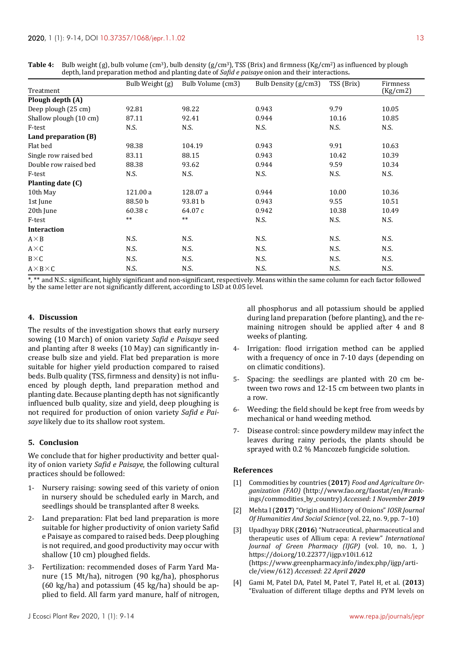|                        | Bulb Weight (g) | Bulb Volume (cm3) | Bulb Density (g/cm3) | TSS (Brix) | Firmness |
|------------------------|-----------------|-------------------|----------------------|------------|----------|
| Treatment              |                 |                   |                      |            | (Kg/cm2) |
| Plough depth (A)       |                 |                   |                      |            |          |
| Deep plough (25 cm)    | 92.81           | 98.22             | 0.943                | 9.79       | 10.05    |
| Shallow plough (10 cm) | 87.11           | 92.41             | 0.944                | 10.16      | 10.85    |
| F-test                 | N.S.            | N.S.              | N.S.                 | N.S.       | N.S.     |
| Land preparation (B)   |                 |                   |                      |            |          |
| Flat bed               | 98.38           | 104.19            | 0.943                | 9.91       | 10.63    |
| Single row raised bed  | 83.11           | 88.15             | 0.943                | 10.42      | 10.39    |
| Double row raised bed  | 88.38           | 93.62             | 0.944                | 9.59       | 10.34    |
| F-test                 | N.S.            | N.S.              | N.S.                 | N.S.       | N.S.     |
| Planting date (C)      |                 |                   |                      |            |          |
| 10th May               | 121.00 a        | 128.07 a          | 0.944                | 10.00      | 10.36    |
| 1st June               | 88.50 b         | 93.81 b           | 0.943                | 9.55       | 10.51    |
| 20th June              | 60.38 c         | 64.07 c           | 0.942                | 10.38      | 10.49    |
| F-test                 | $***$           | $***$             | N.S.                 | N.S.       | N.S.     |
| <b>Interaction</b>     |                 |                   |                      |            |          |
| $A \times B$           | N.S.            | N.S.              | N.S.                 | N.S.       | N.S.     |
| $A \times C$           | N.S.            | N.S.              | N.S.                 | N.S.       | N.S.     |
| $B\times C$            | N.S.            | N.S.              | N.S.                 | N.S.       | N.S.     |
| $A \times B \times C$  | N.S.            | N.S.              | N.S.                 | N.S.       | N.S.     |

**Table 4:** Bulb weight (g), bulb volume (cm3), bulb density (g/cm3), TSS (Brix) and firmness (Kg/cm2) as influenced by plough depth, land preparation method and planting date of *Safid e paisaye* onion and their interactions**.** 

\*\* and N.S.: significant, highly significant and non-significant, respectively. Means within the same column for each factor followed by the same letter are not significantly different, according to LSD at 0.05 level.

## **4. Discussion**

The results of the investigation shows that early nursery sowing (10 March) of onion variety *Safid e Paisaye* seed and planting after 8 weeks (10 May) can significantly increase bulb size and yield. Flat bed preparation is more suitable for higher yield production compared to raised beds. Bulb quality (TSS, firmness and density) is not influenced by plough depth, land preparation method and planting date. Because planting depth has not significantly influenced bulb quality, size and yield, deep ploughing is not required for production of onion variety *Safid e Paisaye* likely due to its shallow root system.

## **5. Conclusion**

We conclude that for higher productivity and better quality of onion variety *Safid e Paisaye*, the following cultural practices should be followed:

- 1- Nursery raising: sowing seed of this variety of onion in nursery should be scheduled early in March, and seedlings should be transplanted after 8 weeks.
- 2- Land preparation: Flat bed land preparation is more suitable for higher productivity of onion variety Safid e Paisaye as compared to raised beds. Deep ploughing is not required, and good productivity may occur with shallow (10 cm) ploughed fields.
- 3- Fertilization: recommended doses of Farm Yard Manure (15 Mt/ha), nitrogen (90 kg/ha), phosphorus (60 kg/ha) and potassium (45 kg/ha) should be applied to field. All farm yard manure, half of nitrogen,

all phosphorus and all potassium should be applied during land preparation (before planting), and the remaining nitrogen should be applied after 4 and 8 weeks of planting.

- 4- Irrigation: flood irrigation method can be applied with a frequency of once in 7-10 days (depending on on climatic conditions).
- 5- Spacing: the seedlings are planted with 20 cm between two rows and 12-15 cm between two plants in a row.
- 6- Weeding: the field should be kept free from weeds by mechanical or hand weeding method.
- 7- Disease control: since powdery mildew may infect the leaves during rainy periods, the plants should be sprayed with 0.2 % Mancozeb fungicide solution.

## **References**

- [1] Commodities by countries (**2017**) *Food and Agriculture Organization (FAO)* (http://www.fao.org/faostat/en/#rankings/commodities\_by\_country) *Accessed*: *1 November 2019*
- [2] Mehta I (**2017**) "Origin and History of Onions" *IOSR Journal Of Humanities And Social Science* (vol. 22, no. 9, pp. 7–10)
- [3] Upadhyay DRK (**2016**) "Nutraceutical, pharmaceutical and therapeutic uses of Allium cepa: A review" *International Journal of Green Pharmacy (IJGP)* (vol. 10, no. 1, ) https://doi.org/10.22377/ijgp.v10i1.612 (https://www.greenpharmacy.info/index.php/ijgp/article/view/612) *Accessed*: *22 April 2020*
- [4] Gami M, Patel DA, Patel M, Patel T, Patel H, et al. (**2013**) "Evaluation of different tillage depths and FYM levels on